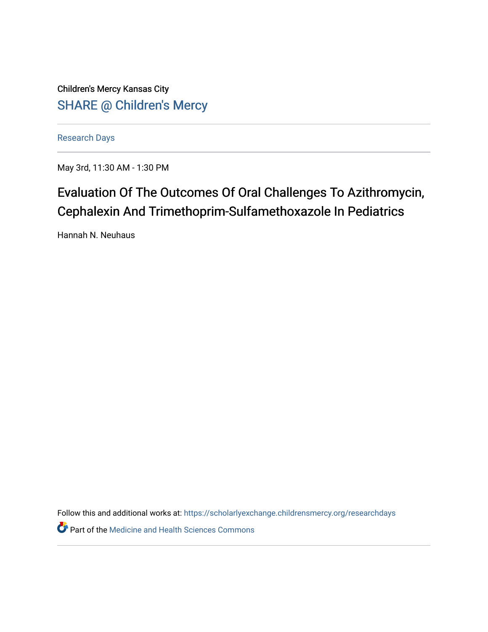Children's Mercy Kansas City SHARE @ Children's Mercy

[Research Days](https://scholarlyexchange.childrensmercy.org/researchdays)

May 3rd, 11:30 AM - 1:30 PM

## Evaluation Of The Outcomes Of Oral Challenges To Azithromycin, Cephalexin And Trimethoprim-Sulfamethoxazole In Pediatrics

Hannah N. Neuhaus

Follow this and additional works at: [https://scholarlyexchange.childrensmercy.org/researchdays](https://scholarlyexchange.childrensmercy.org/researchdays?utm_source=scholarlyexchange.childrensmercy.org%2Fresearchdays%2FGME_Research_Days_2021%2Fresearchday1%2F1&utm_medium=PDF&utm_campaign=PDFCoverPages) 

**Part of the Medicine and Health Sciences Commons**